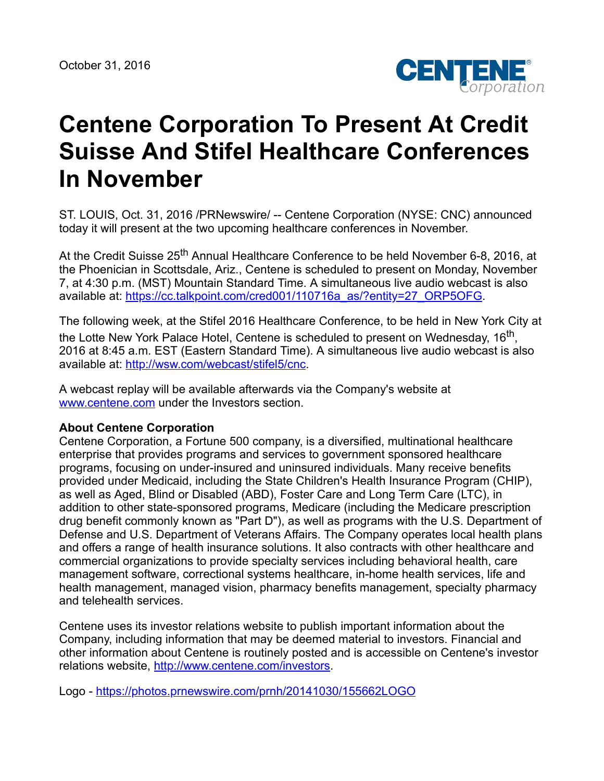

## **Centene Corporation To Present At Credit Suisse And Stifel Healthcare Conferences In November**

ST. LOUIS, Oct. 31, 2016 /PRNewswire/ -- Centene Corporation (NYSE: CNC) announced today it will present at the two upcoming healthcare conferences in November.

At the Credit Suisse 25<sup>th</sup> Annual Healthcare Conference to be held November 6-8, 2016, at the Phoenician in Scottsdale, Ariz., Centene is scheduled to present on Monday, November 7, at 4:30 p.m. (MST) Mountain Standard Time. A simultaneous live audio webcast is also available at: [https://cc.talkpoint.com/cred001/110716a\\_as/?entity=27\\_ORP5OFG](https://cc.talkpoint.com/cred001/110716a_as/?entity=27_ORP5OFG).

The following week, at the Stifel 2016 Healthcare Conference, to be held in New York City at the Lotte New York Palace Hotel, Centene is scheduled to present on Wednesday, 16<sup>th</sup>, 2016 at 8:45 a.m. EST (Eastern Standard Time). A simultaneous live audio webcast is also available at: <http://wsw.com/webcast/stifel5/cnc>.

A webcast replay will be available afterwards via the Company's website at [www.centene.com](http://www.centene.com/) under the Investors section.

## **About Centene Corporation**

Centene Corporation, a Fortune 500 company, is a diversified, multinational healthcare enterprise that provides programs and services to government sponsored healthcare programs, focusing on under-insured and uninsured individuals. Many receive benefits provided under Medicaid, including the State Children's Health Insurance Program (CHIP), as well as Aged, Blind or Disabled (ABD), Foster Care and Long Term Care (LTC), in addition to other state-sponsored programs, Medicare (including the Medicare prescription drug benefit commonly known as "Part D"), as well as programs with the U.S. Department of Defense and U.S. Department of Veterans Affairs. The Company operates local health plans and offers a range of health insurance solutions. It also contracts with other healthcare and commercial organizations to provide specialty services including behavioral health, care management software, correctional systems healthcare, in-home health services, life and health management, managed vision, pharmacy benefits management, specialty pharmacy and telehealth services.

Centene uses its investor relations website to publish important information about the Company, including information that may be deemed material to investors. Financial and other information about Centene is routinely posted and is accessible on Centene's investor relations website, <http://www.centene.com/investors>.

Logo - <https://photos.prnewswire.com/prnh/20141030/155662LOGO>